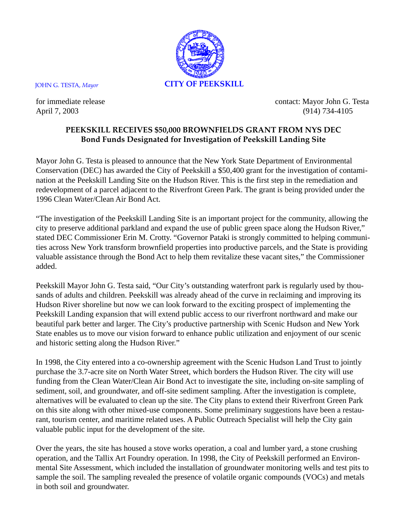

for immediate release contact: Mayor John G. Testa April 7, 2003 (914) 734-4105

## **PEEKSKILL RECEIVES \$50,000 BROWNFIELDS GRANT FROM NYS DEC Bond Funds Designated for Investigation of Peekskill Landing Site**

Mayor John G. Testa is pleased to announce that the New York State Department of Environmental Conservation (DEC) has awarded the City of Peekskill a \$50,400 grant for the investigation of contamination at the Peekskill Landing Site on the Hudson River. This is the first step in the remediation and redevelopment of a parcel adjacent to the Riverfront Green Park. The grant is being provided under the 1996 Clean Water/Clean Air Bond Act.

"The investigation of the Peekskill Landing Site is an important project for the community, allowing the city to preserve additional parkland and expand the use of public green space along the Hudson River," stated DEC Commissioner Erin M. Crotty. "Governor Pataki is strongly committed to helping communities across New York transform brownfield properties into productive parcels, and the State is providing valuable assistance through the Bond Act to help them revitalize these vacant sites," the Commissioner added.

Peekskill Mayor John G. Testa said, "Our City's outstanding waterfront park is regularly used by thousands of adults and children. Peekskill was already ahead of the curve in reclaiming and improving its Hudson River shoreline but now we can look forward to the exciting prospect of implementing the Peekskill Landing expansion that will extend public access to our riverfront northward and make our beautiful park better and larger. The City's productive partnership with Scenic Hudson and New York State enables us to move our vision forward to enhance public utilization and enjoyment of our scenic and historic setting along the Hudson River."

In 1998, the City entered into a co-ownership agreement with the Scenic Hudson Land Trust to jointly purchase the 3.7-acre site on North Water Street, which borders the Hudson River. The city will use funding from the Clean Water/Clean Air Bond Act to investigate the site, including on-site sampling of sediment, soil, and groundwater, and off-site sediment sampling. After the investigation is complete, alternatives will be evaluated to clean up the site. The City plans to extend their Riverfront Green Park on this site along with other mixed-use components. Some preliminary suggestions have been a restaurant, tourism center, and maritime related uses. A Public Outreach Specialist will help the City gain valuable public input for the development of the site.

Over the years, the site has housed a stove works operation, a coal and lumber yard, a stone crushing operation, and the Tallix Art Foundry operation. In 1998, the City of Peekskill performed an Environmental Site Assessment, which included the installation of groundwater monitoring wells and test pits to sample the soil. The sampling revealed the presence of volatile organic compounds (VOCs) and metals in both soil and groundwater.